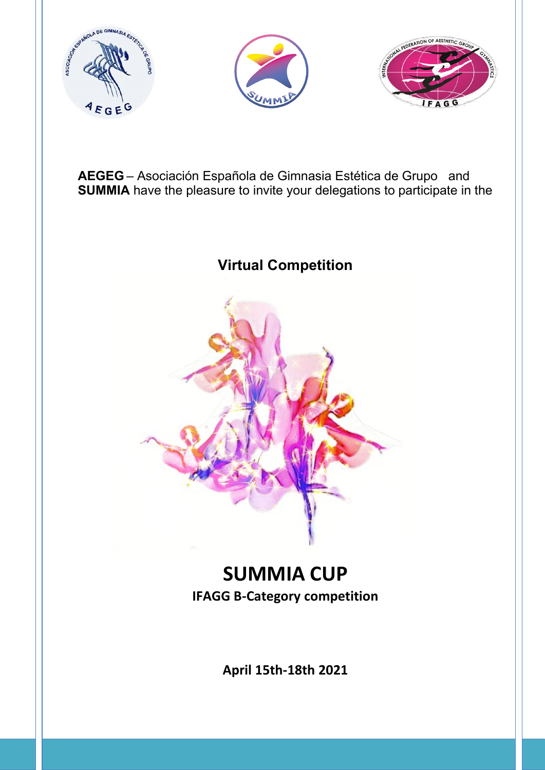





**AEGEG** – Asociación Española de Gimnasia Estética de Grupo and **SUMMIA** have the pleasure to invite your delegations to participate in the

**Virtual Competition**



## **SUMMIA CUP IFAGG B-Category competition**

**April 15th-18th 2021**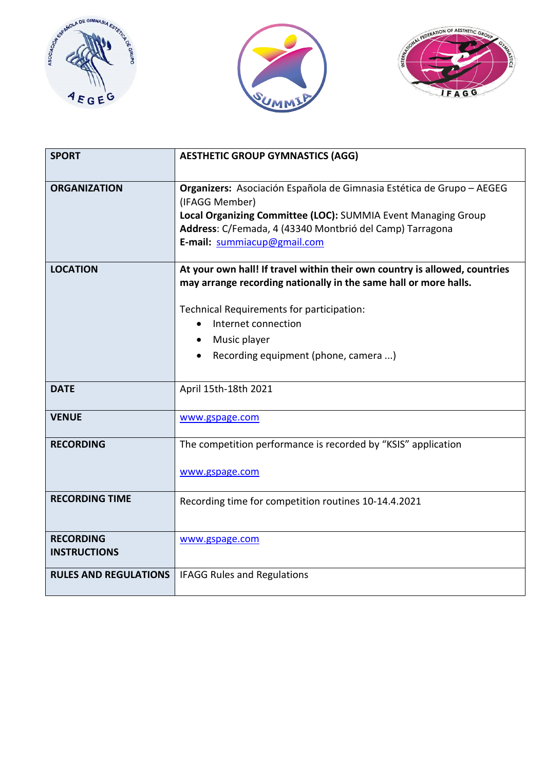





| <b>SPORT</b>                            | <b>AESTHETIC GROUP GYMNASTICS (AGG)</b>                                                                                                                                                                                                                                    |
|-----------------------------------------|----------------------------------------------------------------------------------------------------------------------------------------------------------------------------------------------------------------------------------------------------------------------------|
| <b>ORGANIZATION</b>                     | Organizers: Asociación Española de Gimnasia Estética de Grupo - AEGEG<br>(IFAGG Member)<br>Local Organizing Committee (LOC): SUMMIA Event Managing Group<br>Address: C/Femada, 4 (43340 Montbrió del Camp) Tarragona<br>E-mail: summiacup@gmail.com                        |
| <b>LOCATION</b>                         | At your own hall! If travel within their own country is allowed, countries<br>may arrange recording nationally in the same hall or more halls.<br>Technical Requirements for participation:<br>Internet connection<br>Music player<br>Recording equipment (phone, camera ) |
| <b>DATE</b>                             | April 15th-18th 2021                                                                                                                                                                                                                                                       |
| <b>VENUE</b>                            | www.gspage.com                                                                                                                                                                                                                                                             |
| <b>RECORDING</b>                        | The competition performance is recorded by "KSIS" application<br>www.gspage.com                                                                                                                                                                                            |
| <b>RECORDING TIME</b>                   | Recording time for competition routines 10-14.4.2021                                                                                                                                                                                                                       |
| <b>RECORDING</b><br><b>INSTRUCTIONS</b> | www.gspage.com                                                                                                                                                                                                                                                             |
| <b>RULES AND REGULATIONS</b>            | <b>IFAGG Rules and Regulations</b>                                                                                                                                                                                                                                         |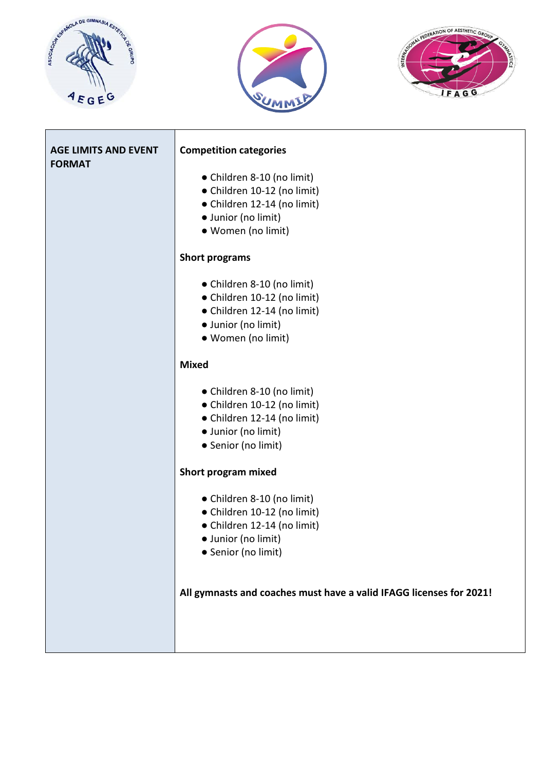





| <b>AGE LIMITS AND EVENT</b><br><b>FORMAT</b> | <b>Competition categories</b>                                                                                                          |
|----------------------------------------------|----------------------------------------------------------------------------------------------------------------------------------------|
|                                              | • Children 8-10 (no limit)<br>• Children 10-12 (no limit)<br>• Children 12-14 (no limit)<br>· Junior (no limit)<br>• Women (no limit)  |
|                                              | <b>Short programs</b>                                                                                                                  |
|                                              | • Children 8-10 (no limit)<br>• Children 10-12 (no limit)<br>• Children 12-14 (no limit)<br>· Junior (no limit)<br>• Women (no limit)  |
|                                              | <b>Mixed</b>                                                                                                                           |
|                                              | • Children 8-10 (no limit)<br>• Children 10-12 (no limit)<br>• Children 12-14 (no limit)<br>· Junior (no limit)<br>• Senior (no limit) |
|                                              | Short program mixed                                                                                                                    |
|                                              | • Children 8-10 (no limit)<br>• Children 10-12 (no limit)<br>• Children 12-14 (no limit)<br>· Junior (no limit)<br>• Senior (no limit) |
|                                              | All gymnasts and coaches must have a valid IFAGG licenses for 2021!                                                                    |
|                                              |                                                                                                                                        |